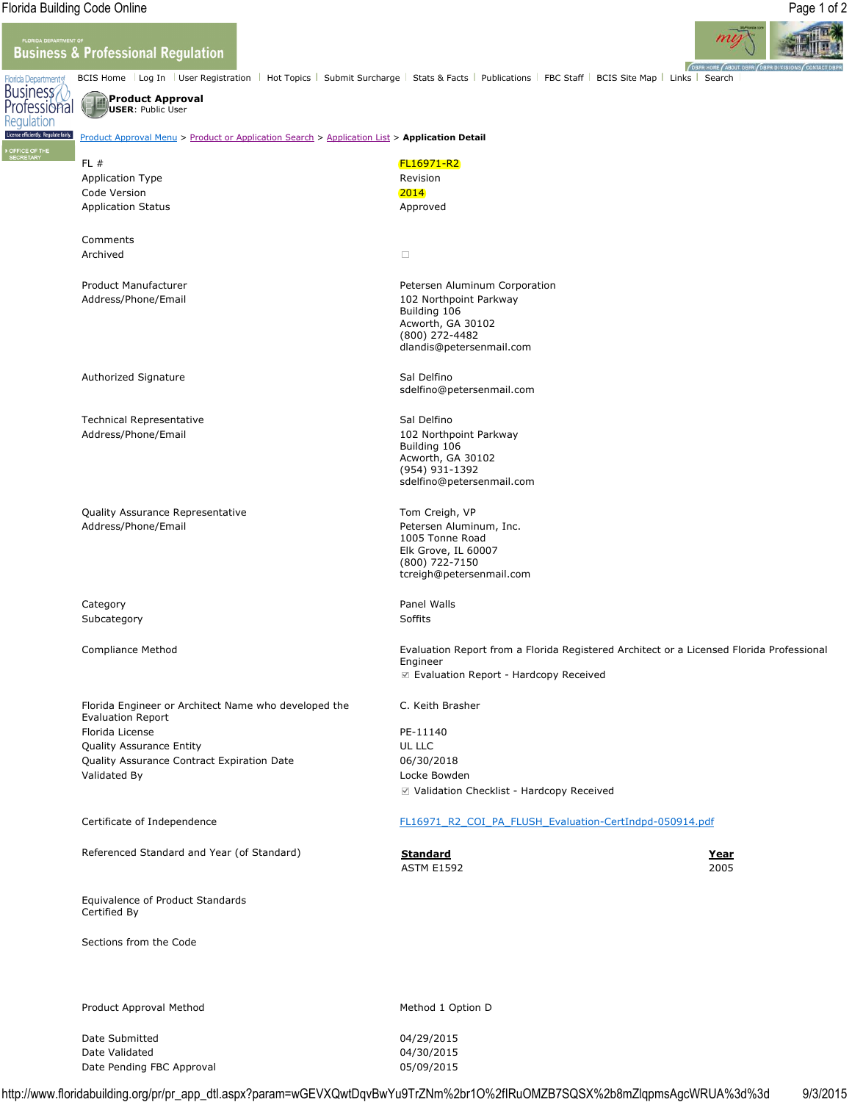Regulation

## **Business & Professional Regulation**



## Business **Product Approval** Professional **USER**: Public User

iently. Regulate fairly. Product Approval Menu > Product or Application Search > Application List > **Application Detail**

| FL#<br><b>Application Type</b><br>Code Version<br><b>Application Status</b>      | <b>FL16971-R2</b><br>Revision<br>2014<br>Approved                                                                                                             |  |
|----------------------------------------------------------------------------------|---------------------------------------------------------------------------------------------------------------------------------------------------------------|--|
| Comments<br>Archived                                                             | $\Box$                                                                                                                                                        |  |
| Product Manufacturer<br>Address/Phone/Email                                      | Petersen Aluminum Corporation<br>102 Northpoint Parkway<br>Building 106<br>Acworth, GA 30102<br>(800) 272-4482<br>dlandis@petersenmail.com                    |  |
| Authorized Signature                                                             | Sal Delfino<br>sdelfino@petersenmail.com                                                                                                                      |  |
| <b>Technical Representative</b><br>Address/Phone/Email                           | Sal Delfino<br>102 Northpoint Parkway<br>Building 106<br>Acworth, GA 30102<br>(954) 931-1392<br>sdelfino@petersenmail.com                                     |  |
| Quality Assurance Representative<br>Address/Phone/Email                          | Tom Creigh, VP<br>Petersen Aluminum, Inc.<br>1005 Tonne Road<br>Elk Grove, IL 60007<br>(800) 722-7150<br>tcreigh@petersenmail.com                             |  |
| Category<br>Subcategory                                                          | Panel Walls<br>Soffits                                                                                                                                        |  |
| Compliance Method                                                                | Evaluation Report from a Florida Registered Architect or a Licensed Florida Professional<br>Engineer<br>$\triangledown$ Evaluation Report - Hardcopy Received |  |
| Florida Engineer or Architect Name who developed the<br><b>Evaluation Report</b> | C. Keith Brasher                                                                                                                                              |  |
| Florida License                                                                  | PE-11140                                                                                                                                                      |  |
| <b>Quality Assurance Entity</b>                                                  | UL LLC                                                                                                                                                        |  |
| Quality Assurance Contract Expiration Date                                       | 06/30/2018                                                                                                                                                    |  |
| Validated By                                                                     | Locke Bowden                                                                                                                                                  |  |
|                                                                                  | ☑ Validation Checklist - Hardcopy Received                                                                                                                    |  |

Certificate of Independence The FL16971\_R2\_COI\_PA\_FLUSH\_Evaluation-CertIndpd-050914.pdf

Referenced Standard and Year (of Standard) **Standard Year**

Equivalence of Product Standards Certified By

Sections from the Code

Product Approval Method Method Method 1 Option D

Date Submitted 04/29/2015 Date Validated 04/30/2015 Date Pending FBC Approval 05/09/2015

ASTM E1592 2005